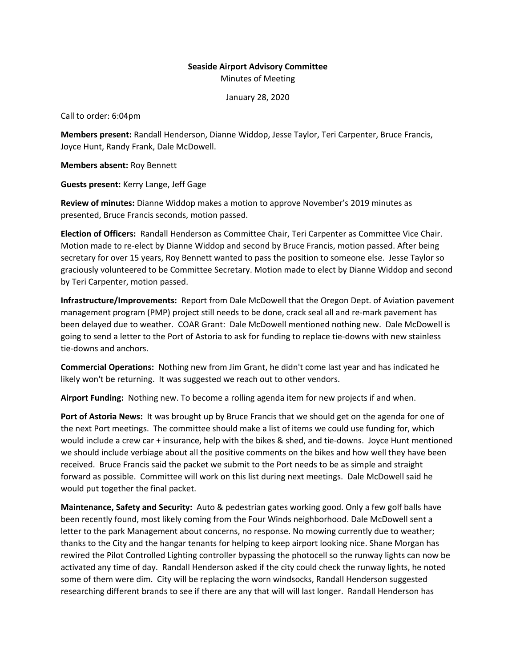## **Seaside Airport Advisory Committee** Minutes of Meeting

January 28, 2020

Call to order: 6:04pm

**Members present:** Randall Henderson, Dianne Widdop, Jesse Taylor, Teri Carpenter, Bruce Francis, Joyce Hunt, Randy Frank, Dale McDowell.

**Members absent:** Roy Bennett

**Guests present:** Kerry Lange, Jeff Gage

**Review of minutes:** Dianne Widdop makes a motion to approve November's 2019 minutes as presented, Bruce Francis seconds, motion passed.

**Election of Officers:** Randall Henderson as Committee Chair, Teri Carpenter as Committee Vice Chair. Motion made to re-elect by Dianne Widdop and second by Bruce Francis, motion passed. After being secretary for over 15 years, Roy Bennett wanted to pass the position to someone else. Jesse Taylor so graciously volunteered to be Committee Secretary. Motion made to elect by Dianne Widdop and second by Teri Carpenter, motion passed.

**Infrastructure/Improvements:** Report from Dale McDowell that the Oregon Dept. of Aviation pavement management program (PMP) project still needs to be done, crack seal all and re-mark pavement has been delayed due to weather. COAR Grant: Dale McDowell mentioned nothing new. Dale McDowell is going to send a letter to the Port of Astoria to ask for funding to replace tie-downs with new stainless tie-downs and anchors.

**Commercial Operations:** Nothing new from Jim Grant, he didn't come last year and has indicated he likely won't be returning. It was suggested we reach out to other vendors.

**Airport Funding:** Nothing new. To become a rolling agenda item for new projects if and when.

**Port of Astoria News:** It was brought up by Bruce Francis that we should get on the agenda for one of the next Port meetings. The committee should make a list of items we could use funding for, which would include a crew car + insurance, help with the bikes & shed, and tie-downs. Joyce Hunt mentioned we should include verbiage about all the positive comments on the bikes and how well they have been received. Bruce Francis said the packet we submit to the Port needs to be as simple and straight forward as possible. Committee will work on this list during next meetings. Dale McDowell said he would put together the final packet.

**Maintenance, Safety and Security:** Auto & pedestrian gates working good. Only a few golf balls have been recently found, most likely coming from the Four Winds neighborhood. Dale McDowell sent a letter to the park Management about concerns, no response. No mowing currently due to weather; thanks to the City and the hangar tenants for helping to keep airport looking nice. Shane Morgan has rewired the Pilot Controlled Lighting controller bypassing the photocell so the runway lights can now be activated any time of day. Randall Henderson asked if the city could check the runway lights, he noted some of them were dim. City will be replacing the worn windsocks, Randall Henderson suggested researching different brands to see if there are any that will will last longer. Randall Henderson has